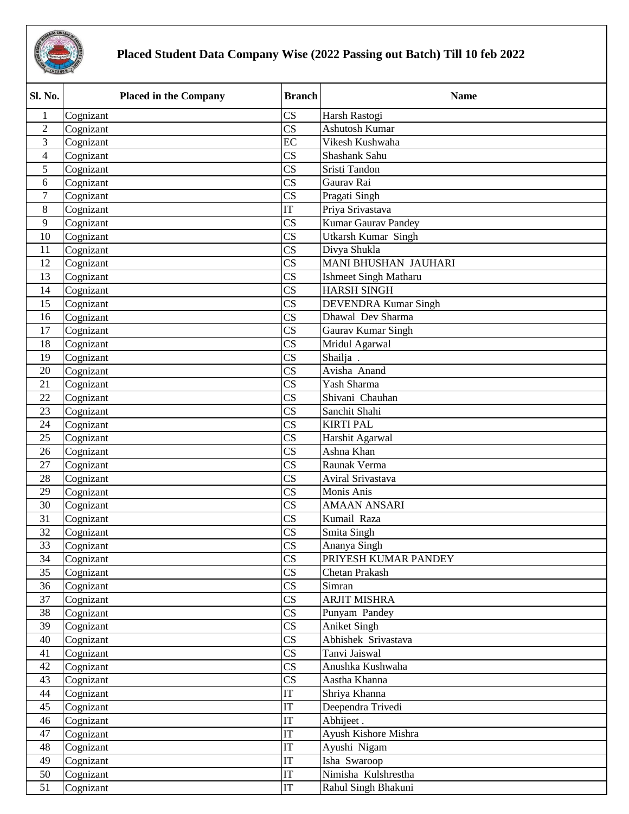

## **Placed Student Data Company Wise (2022 Passing out Batch) Till 10 feb 2022**

| Sl. No.        | <b>Placed in the Company</b> | <b>Branch</b>              | <b>Name</b>                  |
|----------------|------------------------------|----------------------------|------------------------------|
| 1              | Cognizant                    | $\overline{\text{CS}}$     | Harsh Rastogi                |
| $\overline{2}$ | Cognizant                    | $\overline{\text{CS}}$     | Ashutosh Kumar               |
| 3              | Cognizant                    | EC                         | Vikesh Kushwaha              |
| $\overline{4}$ | Cognizant                    | CS                         | Shashank Sahu                |
| 5              | Cognizant                    | $\overline{\text{CS}}$     | Sristi Tandon                |
| 6              | Cognizant                    | $\overline{\text{CS}}$     | Gaurav Rai                   |
| $\overline{7}$ | Cognizant                    | $\overline{\text{CS}}$     | Pragati Singh                |
| 8              | Cognizant                    | IT                         | Priya Srivastava             |
| 9              | Cognizant                    | $\overline{\text{CS}}$     | <b>Kumar Gaurav Pandey</b>   |
| 10             | Cognizant                    | $\overline{\text{CS}}$     | <b>Utkarsh Kumar Singh</b>   |
| 11             | Cognizant                    | $\overline{\text{CS}}$     | Divya Shukla                 |
| 12             | Cognizant                    | $\overline{\text{CS}}$     | <b>MANI BHUSHAN JAUHARI</b>  |
| 13             | Cognizant                    | $\overline{\text{CS}}$     | <b>Ishmeet Singh Matharu</b> |
| 14             | Cognizant                    | $\overline{\text{CS}}$     | <b>HARSH SINGH</b>           |
| 15             | Cognizant                    | $\overline{\text{CS}}$     | <b>DEVENDRA Kumar Singh</b>  |
| 16             | Cognizant                    | $\overline{\text{CS}}$     | Dhawal Dev Sharma            |
| 17             | Cognizant                    | $\overline{\text{CS}}$     | Gaurav Kumar Singh           |
| 18             | Cognizant                    | $\overline{\text{CS}}$     | Mridul Agarwal               |
| 19             | Cognizant                    | $\overline{\text{CS}}$     | Shailja.                     |
| 20             | Cognizant                    | $\overline{\text{CS}}$     | Avisha Anand                 |
| 21             | Cognizant                    | $\overline{\text{CS}}$     | Yash Sharma                  |
| 22             | Cognizant                    | $\overline{\text{CS}}$     | Shivani Chauhan              |
| 23             | Cognizant                    | $\overline{\text{CS}}$     | Sanchit Shahi                |
| 24             | Cognizant                    | $\overline{\text{CS}}$     | <b>KIRTI PAL</b>             |
| 25             | Cognizant                    | $\overline{\text{CS}}$     | Harshit Agarwal              |
| 26             | Cognizant                    | $\overline{\text{CS}}$     | Ashna Khan                   |
| 27             | Cognizant                    | $\overline{\text{CS}}$     | Raunak Verma                 |
| 28             | Cognizant                    | $\overline{\text{CS}}$     | Aviral Srivastava            |
| 29             | Cognizant                    | $\overline{\text{CS}}$     | Monis Anis                   |
| 30             | Cognizant                    | $\overline{\text{CS}}$     | <b>AMAAN ANSARI</b>          |
| 31             | Cognizant                    | $\overline{\text{CS}}$     | Kumail Raza                  |
| 32             | Cognizant                    | $\overline{\text{CS}}$     | Smita Singh                  |
| 33             | Cognizant                    | <b>CS</b>                  | Ananya Singh                 |
| 34             | Cognizant                    | $\overline{\text{CS}}$     | PRIYESH KUMAR PANDEY         |
| 35             | Cognizant                    | $\overline{\text{CS}}$     | Chetan Prakash               |
| 36             | Cognizant                    | $\mathbf{C}\mathbf{S}$     | Simran                       |
| 37             | Cognizant                    | $\mathbf{C}\mathbf{S}$     | ARJIT MISHRA                 |
| 38             | Cognizant                    | $\mathbf{C}\mathbf{S}$     | Punyam Pandey                |
| 39             | Cognizant                    | $\mathbf{C}\mathbf{S}$     | <b>Aniket Singh</b>          |
| 40             | Cognizant                    | $\mathbf{C}\mathbf{S}$     | Abhishek Srivastava          |
| 41             | Cognizant                    | $\overline{\text{CS}}$     | Tanvi Jaiswal                |
| 42             | Cognizant                    | $\mathbf{C}\mathbf{S}$     | Anushka Kushwaha             |
| 43             | Cognizant                    | $\mathbf{C}\mathbf{S}$     | Aastha Khanna                |
| 44             | Cognizant                    | IT                         | Shriya Khanna                |
| 45             | Cognizant                    | IT                         | Deependra Trivedi            |
| 46             | Cognizant                    | IT                         | Abhijeet.                    |
| 47             | Cognizant                    | IT                         | Ayush Kishore Mishra         |
| 48             | Cognizant                    | IT                         | Ayushi Nigam                 |
| 49             | Cognizant                    | $\ensuremath{\mathsf{IT}}$ | Isha Swaroop                 |
| 50             | Cognizant                    | IT                         | Nimisha Kulshrestha          |
| 51             | Cognizant                    | IT                         | Rahul Singh Bhakuni          |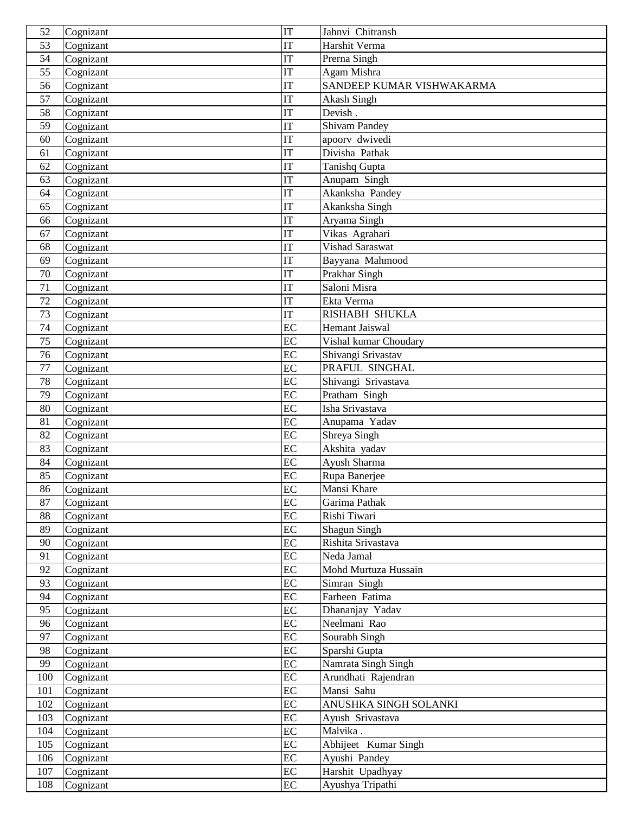| 52       | Cognizant              | IT                     | Jahnvi Chitransh                  |
|----------|------------------------|------------------------|-----------------------------------|
| 53       | Cognizant              | IT                     | Harshit Verma                     |
| 54       | Cognizant              | $\overline{\text{IT}}$ | Prerna Singh                      |
| 55       | Cognizant              | IT                     | Agam Mishra                       |
| 56       | Cognizant              | IT                     | SANDEEP KUMAR VISHWAKARMA         |
| 57       | Cognizant              | $\overline{\text{IT}}$ | Akash Singh                       |
| 58       | Cognizant              | IT                     | Devish.                           |
| 59       | Cognizant              | IT                     | Shivam Pandey                     |
| 60       | Cognizant              | IT                     | apoorv dwivedi                    |
| 61       | Cognizant              | IT                     | Divisha Pathak                    |
| 62       | Cognizant              | $\overline{\text{IT}}$ | Tanishq Gupta                     |
| 63       | Cognizant              | IT                     | Anupam Singh                      |
| 64       | Cognizant              | IT                     | Akanksha Pandey                   |
| 65       | Cognizant              | IT                     | Akanksha Singh                    |
| 66       | Cognizant              | IT                     | Aryama Singh                      |
| 67       | Cognizant              | IT                     | Vikas Agrahari                    |
| 68       | Cognizant              | $\overline{\text{IT}}$ | Vishad Saraswat                   |
| 69       | Cognizant              | IT                     | Bayyana Mahmood                   |
| 70       | Cognizant              | IT                     | Prakhar Singh                     |
| 71       | Cognizant              | IT                     | Saloni Misra                      |
| 72       | Cognizant              | $\overline{\text{IT}}$ | Ekta Verma                        |
| 73       | Cognizant              | IT                     | RISHABH SHUKLA                    |
| 74       | Cognizant              | EC                     | <b>Hemant Jaiswal</b>             |
| 75       | Cognizant              | EC                     | Vishal kumar Choudary             |
| 76       | Cognizant              | EC                     | Shivangi Srivastav                |
| 77       | Cognizant              | EC                     | PRAFUL SINGHAL                    |
| 78       | Cognizant              | EC                     | Shivangi Srivastava               |
| 79       | Cognizant              | $\overline{EC}$        | Pratham Singh                     |
| 80       | Cognizant              | EC                     | Isha Srivastava                   |
| 81       | Cognizant              | EC                     | Anupama Yadav                     |
| 82       | Cognizant              | EC                     | Shreya Singh                      |
| 83       | Cognizant              | EC                     | Akshita yadav                     |
| 84       | Cognizant              | EC                     | Ayush Sharma                      |
| 85       | Cognizant              | EC                     | Rupa Banerjee                     |
| 86       | Cognizant              | EC                     | Mansi Khare                       |
| 87       | Cognizant              | $\overline{EC}$        | Garima Pathak                     |
| 88       | Cognizant              | EC                     | Rishi Tiwari                      |
| 89       | Cognizant              | EC                     | Shagun Singh                      |
| 90       | Cognizant              | $\overline{EC}$        | Rishita Srivastava                |
| 91       | Cognizant              | EC                     | Neda Jamal                        |
| 92       | Cognizant              | EC                     | Mohd Murtuza Hussain              |
| 93       | Cognizant              | EC                     | Simran Singh                      |
| 94<br>95 | Cognizant<br>Cognizant | EC<br>EC               | Farheen Fatima<br>Dhananjay Yadav |
| 96       |                        | EC                     | Neelmani Rao                      |
| 97       | Cognizant<br>Cognizant | EC                     | Sourabh Singh                     |
| 98       | Cognizant              | EC                     | Sparshi Gupta                     |
| 99       | Cognizant              | EC                     | Namrata Singh Singh               |
| 100      | Cognizant              | EC                     | Arundhati Rajendran               |
| 101      | Cognizant              | EC                     | Mansi Sahu                        |
| 102      | Cognizant              | EC                     | ANUSHKA SINGH SOLANKI             |
| 103      | Cognizant              | EC                     | Ayush Srivastava                  |
| 104      | Cognizant              | $\overline{EC}$        | Malvika.                          |
| 105      | Cognizant              | EC                     | Abhijeet Kumar Singh              |
| 106      | Cognizant              | EC                     | Ayushi Pandey                     |
| 107      | Cognizant              | EC                     | Harshit Upadhyay                  |
| 108      | Cognizant              | EC                     | Ayushya Tripathi                  |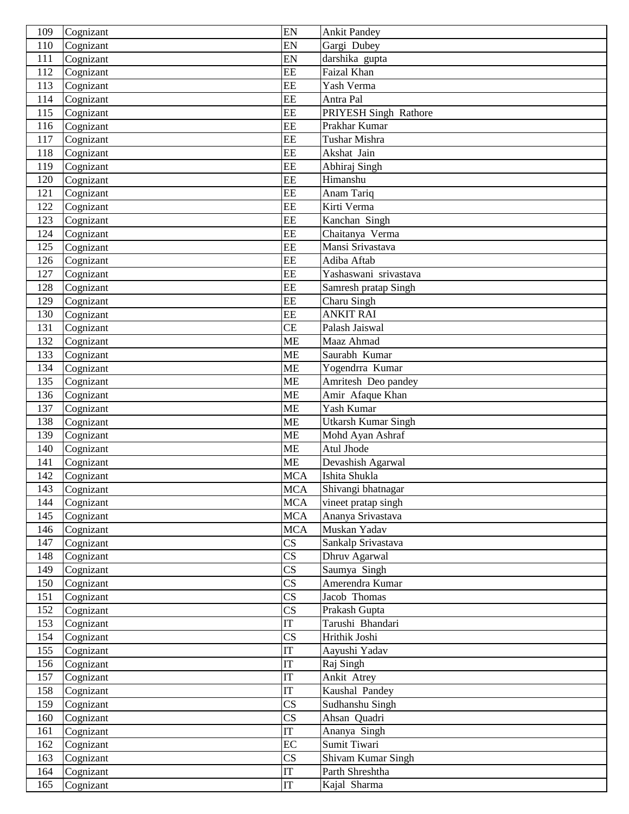| 109        | Cognizant              | EN                       | <b>Ankit Pandey</b>                |
|------------|------------------------|--------------------------|------------------------------------|
| 110        | Cognizant              | EN                       | Gargi Dubey                        |
| 111        | Cognizant              | EN                       | darshika gupta                     |
| 112        | Cognizant              | EE                       | Faizal Khan                        |
| 113        | Cognizant              | EE                       | Yash Verma                         |
| 114        | Cognizant              | EE                       | Antra Pal                          |
| 115        | Cognizant              | EE                       | PRIYESH Singh Rathore              |
| 116        | Cognizant              | EE                       | Prakhar Kumar                      |
| 117        | Cognizant              | EE                       | Tushar Mishra                      |
| 118        | Cognizant              | EE                       | Akshat Jain                        |
| 119        | Cognizant              | EE                       | Abhiraj Singh                      |
| 120        | Cognizant              | EE                       | Himanshu                           |
| 121        | Cognizant              | EE                       | Anam Tariq                         |
| 122        | Cognizant              | EE                       | Kirti Verma                        |
| 123        | Cognizant              | EE                       | Kanchan Singh                      |
| 124        | Cognizant              | EE                       | Chaitanya Verma                    |
| 125        | Cognizant              | EE                       | Mansi Srivastava                   |
| 126        | Cognizant              | EE                       | Adiba Aftab                        |
| 127        | Cognizant              | EE                       | Yashaswani srivastava              |
| 128        | Cognizant              | EE                       | Samresh pratap Singh               |
| 129        | Cognizant              | EE                       | Charu Singh                        |
| 130        | Cognizant              | EE                       | <b>ANKIT RAI</b>                   |
| 131        | Cognizant              | <b>CE</b>                | Palash Jaiswal                     |
| 132        | Cognizant              | ME                       | Maaz Ahmad                         |
| 133        | Cognizant              | <b>ME</b>                | Saurabh Kumar                      |
| 134        | Cognizant              | <b>ME</b>                | Yogendrra Kumar                    |
| 135        | Cognizant              | <b>ME</b>                | Amritesh Deo pandey                |
| 136        | Cognizant              | <b>ME</b>                | Amir Afaque Khan                   |
| 137        | Cognizant              | <b>ME</b>                | Yash Kumar                         |
| 138        | Cognizant              | <b>ME</b>                | <b>Utkarsh Kumar Singh</b>         |
| 139        | Cognizant              | <b>ME</b>                | Mohd Ayan Ashraf                   |
| 140        | Cognizant              | <b>ME</b><br><b>ME</b>   | Atul Jhode                         |
| 141<br>142 | Cognizant              | <b>MCA</b>               | Devashish Agarwal<br>Ishita Shukla |
| 143        | Cognizant              |                          | Shivangi bhatnagar                 |
| 144        | Cognizant<br>Cognizant | <b>MCA</b><br><b>MCA</b> | vineet pratap singh                |
| 145        | Cognizant              | <b>MCA</b>               | Ananya Srivastava                  |
| 146        | Cognizant              | <b>MCA</b>               | Muskan Yadav                       |
| 147        | Cognizant              | $\overline{\text{CS}}$   | Sankalp Srivastava                 |
| 148        | Cognizant              | $\overline{\text{CS}}$   | Dhruv Agarwal                      |
| 149        | Cognizant              | $\overline{\text{CS}}$   | Saumya Singh                       |
| 150        | Cognizant              | $\overline{\text{CS}}$   | Amerendra Kumar                    |
| 151        | Cognizant              | $\overline{\text{CS}}$   | Jacob Thomas                       |
| 152        | Cognizant              | $\overline{\text{CS}}$   | Prakash Gupta                      |
| 153        | Cognizant              | $\overline{\text{IT}}$   | Tarushi Bhandari                   |
| 154        | Cognizant              | $\overline{\text{CS}}$   | Hrithik Joshi                      |
| 155        | Cognizant              | IT                       | Aayushi Yadav                      |
| 156        | Cognizant              | IT                       | Raj Singh                          |
| 157        | Cognizant              | IT                       | Ankit Atrey                        |
| 158        | Cognizant              | $\overline{\text{IT}}$   | Kaushal Pandey                     |
| 159        | Cognizant              | $\overline{\text{CS}}$   | Sudhanshu Singh                    |
| 160        | Cognizant              | $\overline{\text{CS}}$   | Ahsan Quadri                       |
| 161        | Cognizant              | IT                       | Ananya Singh                       |
| 162        | Cognizant              | EC                       | Sumit Tiwari                       |
| 163        | Cognizant              | $\overline{\text{CS}}$   | Shivam Kumar Singh                 |
| 164        | Cognizant              | IT                       | Parth Shreshtha                    |
| 165        | Cognizant              | IT                       | Kajal Sharma                       |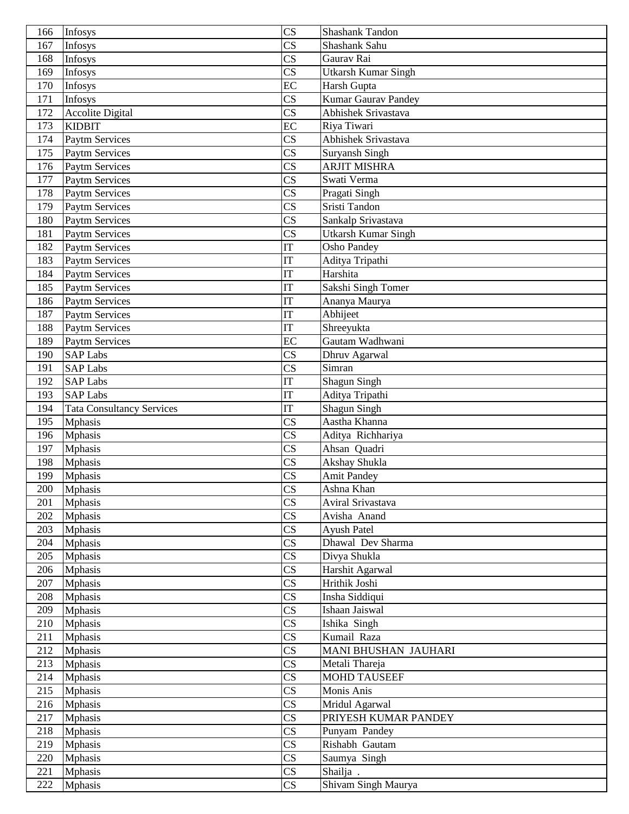| 166        | Infosys                          | $\overline{\text{CS}}$                           | Shashank Tandon                   |
|------------|----------------------------------|--------------------------------------------------|-----------------------------------|
| 167        | Infosys                          | $\overline{\text{CS}}$                           | Shashank Sahu                     |
| 168        | <b>Infosys</b>                   | $\overline{\text{CS}}$                           | Gaurav Rai                        |
| 169        | Infosys                          | $\overline{\text{CS}}$                           | <b>Utkarsh Kumar Singh</b>        |
| 170        | Infosys                          | EC                                               | Harsh Gupta                       |
| 171        | Infosys                          | $\overline{\text{CS}}$                           | Kumar Gaurav Pandey               |
| 172        | Accolite Digital                 | $\overline{\text{CS}}$                           | <b>Abhishek Srivastava</b>        |
| 173        | <b>KIDBIT</b>                    | EC                                               | Riya Tiwari                       |
| 174        | <b>Paytm Services</b>            | $\overline{\text{CS}}$                           | Abhishek Srivastava               |
| 175        | <b>Paytm Services</b>            | $\overline{\text{CS}}$                           | Suryansh Singh                    |
| 176        | <b>Paytm Services</b>            | $\overline{\text{CS}}$                           | <b>ARJIT MISHRA</b>               |
| 177        | Paytm Services                   | $\overline{\text{CS}}$                           | Swati Verma                       |
| 178        | Paytm Services                   | $\overline{\text{CS}}$                           | Pragati Singh                     |
| 179        | <b>Paytm Services</b>            | $\overline{\text{CS}}$                           | Sristi Tandon                     |
| 180        | <b>Paytm Services</b>            | $\overline{\text{CS}}$                           | Sankalp Srivastava                |
| 181        | <b>Paytm Services</b>            | $\overline{\text{CS}}$                           | <b>Utkarsh Kumar Singh</b>        |
| 182        | <b>Paytm Services</b>            | <b>IT</b>                                        | Osho Pandey                       |
| 183        | <b>Paytm Services</b>            | IT                                               | Aditya Tripathi                   |
| 184        | Paytm Services                   | IT                                               | Harshita                          |
| 185        | Paytm Services                   | <b>IT</b>                                        | Sakshi Singh Tomer                |
| 186        | <b>Paytm Services</b>            | IT                                               | Ananya Maurya                     |
| 187        | <b>Paytm Services</b>            | IT                                               | Abhijeet                          |
| 188        | Paytm Services                   | <b>IT</b>                                        | Shreeyukta                        |
| 189        | Paytm Services                   | EC                                               | Gautam Wadhwani                   |
| 190        | <b>SAP Labs</b>                  | $\overline{\text{CS}}$                           | Dhruv Agarwal                     |
| 191        | <b>SAP Labs</b>                  | $\overline{\text{CS}}$                           | Simran                            |
| 192        | <b>SAP Labs</b>                  | IT                                               | <b>Shagun Singh</b>               |
| 193        | <b>SAP Labs</b>                  | <b>IT</b>                                        | Aditya Tripathi                   |
| 194        | <b>Tata Consultancy Services</b> | IT                                               | Shagun Singh                      |
| 195        | <b>Mphasis</b>                   | $\overline{\text{CS}}$                           | Aastha Khanna                     |
| 196        | <b>Mphasis</b>                   | $\overline{\text{CS}}$                           |                                   |
|            | <b>Mphasis</b>                   | $\overline{\text{CS}}$                           | Aditya Richhariya<br>Ahsan Quadri |
| 197<br>198 | <b>Mphasis</b>                   | $\overline{\text{CS}}$                           | Akshay Shukla                     |
| 199        | <b>Mphasis</b>                   | $\overline{\text{CS}}$                           | <b>Amit Pandey</b>                |
| 200        |                                  |                                                  | Ashna Khan                        |
| 201        | <b>Mphasis</b><br><b>Mphasis</b> | CS<br>$\overline{\text{CS}}$                     | Aviral Srivastava                 |
| 202        | <b>Mphasis</b>                   | $\overline{\text{CS}}$                           | Avisha Anand                      |
| 203        | <b>Mphasis</b>                   | $\overline{\text{CS}}$                           | Ayush Patel                       |
| 204        | <b>Mphasis</b>                   | $\overline{\text{CS}}$                           | Dhawal Dev Sharma                 |
|            |                                  | $\overline{\text{CS}}$                           |                                   |
| 205<br>206 | <b>Mphasis</b><br>Mphasis        | $\overline{\text{CS}}$                           | Divya Shukla<br>Harshit Agarwal   |
| 207        | <b>Mphasis</b>                   | $\overline{\text{CS}}$                           | Hrithik Joshi                     |
| 208        | <b>Mphasis</b>                   | $\overline{\text{CS}}$                           | Insha Siddiqui                    |
| 209        |                                  | $\overline{\text{CS}}$                           | Ishaan Jaiswal                    |
| 210        | <b>Mphasis</b><br><b>Mphasis</b> | $\overline{\text{CS}}$                           | Ishika Singh                      |
| 211        | <b>Mphasis</b>                   | $\overline{\text{CS}}$                           | Kumail Raza                       |
| 212        | <b>Mphasis</b>                   | $\overline{\text{CS}}$                           | MANI BHUSHAN JAUHARI              |
| 213        |                                  | $\overline{\text{CS}}$                           |                                   |
|            | <b>Mphasis</b>                   |                                                  | Metali Thareja                    |
| 214        | <b>Mphasis</b>                   | $\overline{\text{CS}}$<br>$\overline{\text{CS}}$ | <b>MOHD TAUSEEF</b>               |
| 215        | <b>Mphasis</b>                   |                                                  | Monis Anis                        |
| 216        | <b>Mphasis</b>                   | $\overline{\text{CS}}$                           | Mridul Agarwal                    |
| 217        | <b>Mphasis</b>                   | $\overline{\text{CS}}$                           | PRIYESH KUMAR PANDEY              |
| 218        | <b>Mphasis</b>                   | $\overline{\text{CS}}$                           | Punyam Pandey                     |
| 219        | <b>Mphasis</b>                   | $\overline{\text{CS}}$                           | Rishabh Gautam                    |
| 220        | <b>Mphasis</b>                   | $\overline{\text{CS}}$                           | Saumya Singh                      |
| 221        | <b>Mphasis</b>                   | $\overline{\text{CS}}$                           | Shailja.                          |
| 222        | <b>Mphasis</b>                   | $\mathbf{C}\mathbf{S}$                           | Shivam Singh Maurya               |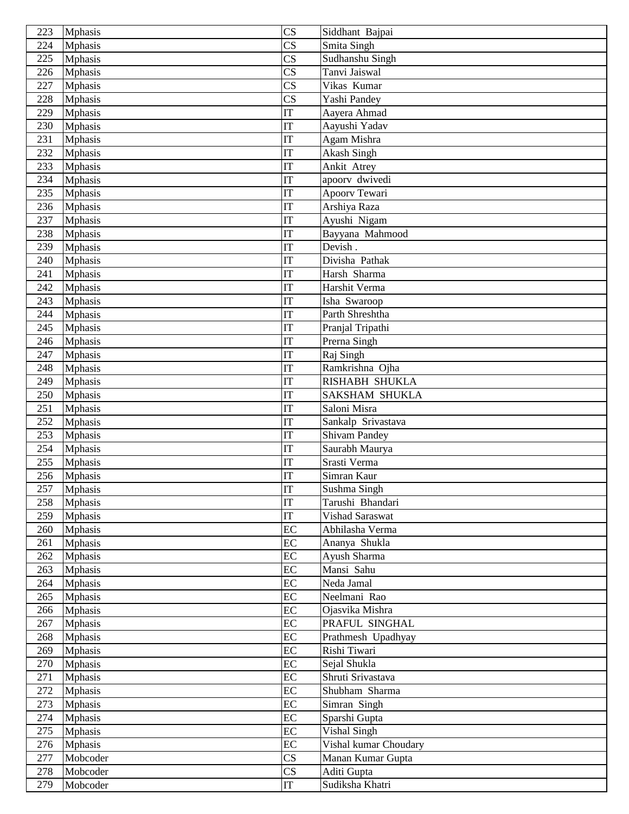| 223 | <b>Mphasis</b> | $\overline{\text{CS}}$ | Siddhant Bajpai       |
|-----|----------------|------------------------|-----------------------|
| 224 | <b>Mphasis</b> | $\overline{\text{CS}}$ | Smita Singh           |
| 225 | <b>Mphasis</b> | $\overline{\text{CS}}$ | Sudhanshu Singh       |
| 226 | <b>Mphasis</b> | $\overline{\text{CS}}$ | Tanvi Jaiswal         |
| 227 | <b>Mphasis</b> | $\overline{\text{CS}}$ | Vikas Kumar           |
| 228 | <b>Mphasis</b> | $\overline{\text{CS}}$ | Yashi Pandey          |
| 229 | <b>Mphasis</b> | IT                     | Aayera Ahmad          |
| 230 | <b>Mphasis</b> | <b>IT</b>              | Aayushi Yadav         |
| 231 | <b>Mphasis</b> | IT                     | Agam Mishra           |
| 232 | <b>Mphasis</b> | IT                     | Akash Singh           |
| 233 | <b>Mphasis</b> | IT                     | <b>Ankit Atrey</b>    |
| 234 | <b>Mphasis</b> | IT                     | apoorv dwivedi        |
| 235 | <b>Mphasis</b> | $\overline{\text{IT}}$ | Apoorv Tewari         |
| 236 | <b>Mphasis</b> | IT                     | Arshiya Raza          |
| 237 | <b>Mphasis</b> | <b>IT</b>              | Ayushi Nigam          |
| 238 | <b>Mphasis</b> | IT                     | Bayyana Mahmood       |
| 239 | <b>Mphasis</b> | IT                     | Devish.               |
| 240 | <b>Mphasis</b> | IT                     | Divisha Pathak        |
| 241 | <b>Mphasis</b> | IT                     | Harsh Sharma          |
| 242 | <b>Mphasis</b> | IT                     | Harshit Verma         |
| 243 | <b>Mphasis</b> | IT                     | Isha Swaroop          |
| 244 | <b>Mphasis</b> | IT                     | Parth Shreshtha       |
| 245 | <b>Mphasis</b> | IT                     | Pranjal Tripathi      |
| 246 | Mphasis        | IT                     | Prerna Singh          |
| 247 | <b>Mphasis</b> | IT                     | Raj Singh             |
| 248 | <b>Mphasis</b> | IT                     | Ramkrishna Ojha       |
| 249 | <b>Mphasis</b> | IT                     | <b>RISHABH SHUKLA</b> |
| 250 | <b>Mphasis</b> | IT                     | <b>SAKSHAM SHUKLA</b> |
| 251 | <b>Mphasis</b> | IT                     | Saloni Misra          |
| 252 | <b>Mphasis</b> | IT                     | Sankalp Srivastava    |
| 253 | <b>Mphasis</b> | IT                     | <b>Shivam Pandey</b>  |
| 254 | <b>Mphasis</b> | IT                     | Saurabh Maurya        |
| 255 | <b>Mphasis</b> | IT                     | Srasti Verma          |
| 256 | <b>Mphasis</b> | IT                     | Simran Kaur           |
| 257 | <b>Mphasis</b> | IT                     | Sushma Singh          |
| 258 | <b>Mphasis</b> | IT                     | Tarushi Bhandari      |
| 259 | <b>Mphasis</b> | IT                     | Vishad Saraswat       |
| 260 | <b>Mphasis</b> | $\overline{EC}$        | Abhilasha Verma       |
| 261 | <b>Mphasis</b> | EC                     | Ananya Shukla         |
| 262 | <b>Mphasis</b> | EC                     | Ayush Sharma          |
| 263 | <b>Mphasis</b> | EC                     | Mansi Sahu            |
| 264 | <b>Mphasis</b> | EC                     | Neda Jamal            |
| 265 | <b>Mphasis</b> | EC                     | Neelmani Rao          |
| 266 | <b>Mphasis</b> | EC                     | Ojasvika Mishra       |
| 267 | <b>Mphasis</b> | EC                     | PRAFUL SINGHAL        |
| 268 | <b>Mphasis</b> | EC                     | Prathmesh Upadhyay    |
| 269 | <b>Mphasis</b> | $\overline{EC}$        | Rishi Tiwari          |
| 270 | <b>Mphasis</b> | EC                     | Sejal Shukla          |
| 271 | <b>Mphasis</b> | EC                     | Shruti Srivastava     |
| 272 | <b>Mphasis</b> | EC                     | Shubham Sharma        |
| 273 | <b>Mphasis</b> | EC                     | Simran Singh          |
| 274 | <b>Mphasis</b> | EC                     | Sparshi Gupta         |
| 275 | <b>Mphasis</b> | EC                     | Vishal Singh          |
| 276 | <b>Mphasis</b> | EC                     | Vishal kumar Choudary |
| 277 | Mobcoder       | $\overline{\text{CS}}$ | Manan Kumar Gupta     |
| 278 | Mobcoder       | $\overline{\text{CS}}$ | Aditi Gupta           |
| 279 | Mobcoder       | IT                     | Sudiksha Khatri       |
|     |                |                        |                       |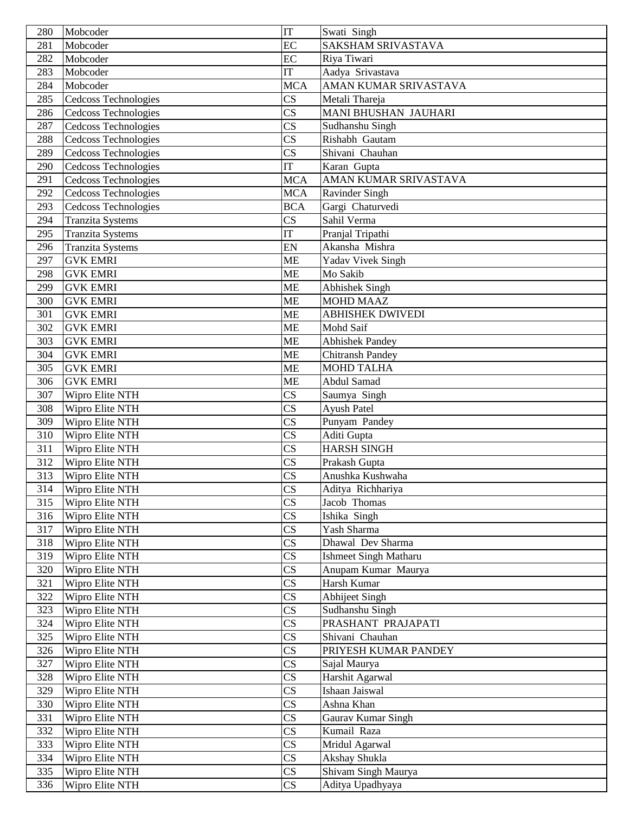| 280 | Mobcoder                    | IT                     | Swati Singh                  |
|-----|-----------------------------|------------------------|------------------------------|
| 281 | Mobcoder                    | EC                     | <b>SAKSHAM SRIVASTAVA</b>    |
| 282 | Mobcoder                    | EC                     | Riya Tiwari                  |
| 283 | Mobcoder                    | IT                     | Aadya Srivastava             |
| 284 | Mobcoder                    | <b>MCA</b>             | AMAN KUMAR SRIVASTAVA        |
| 285 | <b>Cedcoss Technologies</b> | $\overline{\text{CS}}$ | Metali Thareja               |
| 286 | <b>Cedcoss Technologies</b> | $\mathbf{C}\mathbf{S}$ | MANI BHUSHAN JAUHARI         |
| 287 | Cedcoss Technologies        | $\overline{\text{CS}}$ | Sudhanshu Singh              |
| 288 | Cedcoss Technologies        | $\overline{\text{CS}}$ | Rishabh Gautam               |
| 289 | Cedcoss Technologies        | $\overline{\text{CS}}$ | Shivani Chauhan              |
| 290 | Cedcoss Technologies        | $\overline{\text{IT}}$ | Karan Gupta                  |
| 291 | Cedcoss Technologies        | <b>MCA</b>             | AMAN KUMAR SRIVASTAVA        |
| 292 | Cedcoss Technologies        | <b>MCA</b>             | Ravinder Singh               |
| 293 | Cedcoss Technologies        | <b>BCA</b>             | Gargi Chaturvedi             |
| 294 | <b>Tranzita Systems</b>     | $\overline{\text{CS}}$ | Sahil Verma                  |
| 295 | <b>Tranzita Systems</b>     | $\overline{\text{IT}}$ | Pranjal Tripathi             |
| 296 | <b>Tranzita Systems</b>     | EN                     | Akansha Mishra               |
| 297 | <b>GVK EMRI</b>             | <b>ME</b>              | <b>Yadav Vivek Singh</b>     |
| 298 | <b>GVK EMRI</b>             | <b>ME</b>              | Mo Sakib                     |
| 299 | <b>GVK EMRI</b>             | <b>ME</b>              | Abhishek Singh               |
| 300 | <b>GVK EMRI</b>             | <b>ME</b>              | <b>MOHD MAAZ</b>             |
| 301 | <b>GVK EMRI</b>             | <b>ME</b>              | <b>ABHISHEK DWIVEDI</b>      |
| 302 | <b>GVK EMRI</b>             | <b>ME</b>              | Mohd Saif                    |
| 303 | <b>GVK EMRI</b>             | <b>ME</b>              | <b>Abhishek Pandey</b>       |
| 304 | <b>GVK EMRI</b>             | <b>ME</b>              | <b>Chitransh Pandey</b>      |
| 305 | <b>GVK EMRI</b>             | <b>ME</b>              | <b>MOHD TALHA</b>            |
| 306 | <b>GVK EMRI</b>             | <b>ME</b>              | Abdul Samad                  |
| 307 | Wipro Elite NTH             | $\overline{\text{CS}}$ | Saumya Singh                 |
| 308 | Wipro Elite NTH             | $\overline{\text{CS}}$ | <b>Ayush Patel</b>           |
| 309 | Wipro Elite NTH             | $\overline{\text{CS}}$ | Punyam Pandey                |
| 310 | Wipro Elite NTH             | $\overline{\text{CS}}$ | Aditi Gupta                  |
| 311 | Wipro Elite NTH             | $\overline{\text{CS}}$ | <b>HARSH SINGH</b>           |
| 312 | Wipro Elite NTH             | $\overline{\text{CS}}$ | Prakash Gupta                |
| 313 | Wipro Elite NTH             | $\overline{\text{CS}}$ | Anushka Kushwaha             |
| 314 | Wipro Elite NTH             | CS                     | Aditya Richhariya            |
| 315 | Wipro Elite NTH             | $\overline{\text{CS}}$ | Jacob Thomas                 |
| 316 | Wipro Elite NTH             | $\overline{\text{CS}}$ | Ishika Singh                 |
| 317 | Wipro Elite NTH             | $\overline{\text{CS}}$ | Yash Sharma                  |
| 318 | Wipro Elite NTH             | $\mathbf{C}\mathbf{S}$ | Dhawal Dev Sharma            |
| 319 | Wipro Elite NTH             | $\mathbf{C}\mathbf{S}$ | <b>Ishmeet Singh Matharu</b> |
| 320 | Wipro Elite NTH             | $\overline{\text{CS}}$ | Anupam Kumar Maurya          |
| 321 | Wipro Elite NTH             | $\overline{\text{CS}}$ | Harsh Kumar                  |
| 322 | Wipro Elite NTH             | $\overline{\text{CS}}$ | Abhijeet Singh               |
| 323 | Wipro Elite NTH             | $\overline{\text{CS}}$ | Sudhanshu Singh              |
| 324 | Wipro Elite NTH             | $\overline{\text{CS}}$ | PRASHANT PRAJAPATI           |
| 325 | Wipro Elite NTH             | $\overline{\text{CS}}$ | Shivani Chauhan              |
| 326 | Wipro Elite NTH             | $\overline{\text{CS}}$ | PRIYESH KUMAR PANDEY         |
| 327 | Wipro Elite NTH             | $\overline{\text{CS}}$ | Sajal Maurya                 |
| 328 | Wipro Elite NTH             | $\overline{\text{CS}}$ | Harshit Agarwal              |
| 329 | Wipro Elite NTH             | $\overline{\text{CS}}$ | Ishaan Jaiswal               |
| 330 | Wipro Elite NTH             | $\overline{\text{CS}}$ | Ashna Khan                   |
| 331 | Wipro Elite NTH             | $\overline{\text{CS}}$ | Gaurav Kumar Singh           |
| 332 | Wipro Elite NTH             | $\overline{\text{CS}}$ | Kumail Raza                  |
| 333 | Wipro Elite NTH             | $\overline{\text{CS}}$ | Mridul Agarwal               |
| 334 | Wipro Elite NTH             | $\overline{\text{CS}}$ | Akshay Shukla                |
| 335 | Wipro Elite NTH             | $\mathbf{C}\mathbf{S}$ | Shivam Singh Maurya          |
| 336 | Wipro Elite NTH             | CS                     | Aditya Upadhyaya             |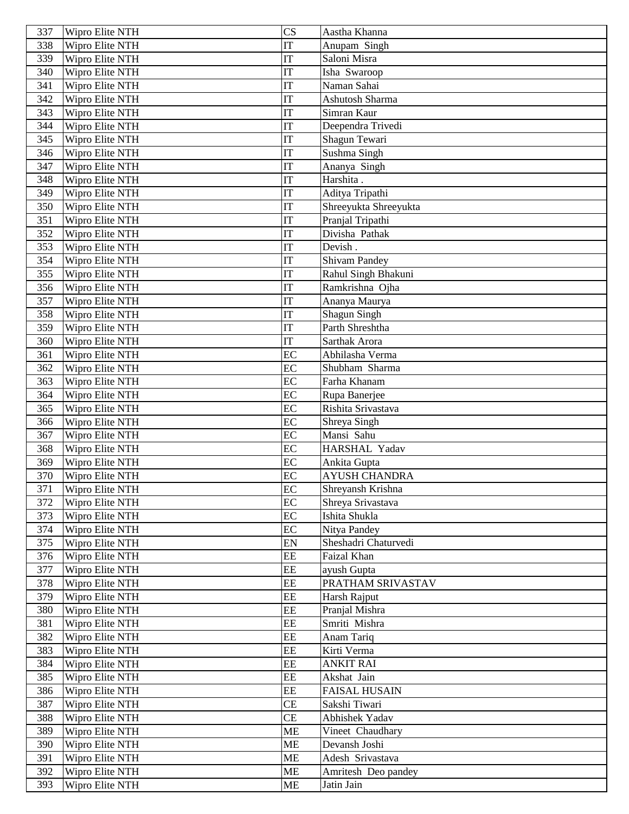| 337        | Wipro Elite NTH                    | $\overline{\text{CS}}$ | Aastha Khanna                   |
|------------|------------------------------------|------------------------|---------------------------------|
| 338        | Wipro Elite NTH                    | IT                     | Anupam Singh                    |
| 339        | Wipro Elite NTH                    | IT                     | Saloni Misra                    |
| 340        | Wipro Elite NTH                    | IT                     | Isha Swaroop                    |
| 341        | Wipro Elite NTH                    | <b>IT</b>              | Naman Sahai                     |
| 342        | Wipro Elite NTH                    | <b>IT</b>              | Ashutosh Sharma                 |
| 343        | Wipro Elite NTH                    | IT                     | Simran Kaur                     |
| 344        | Wipro Elite NTH                    | IT                     | Deependra Trivedi               |
| 345        | Wipro Elite NTH                    | IT                     | Shagun Tewari                   |
| 346        | Wipro Elite NTH                    | IT                     | Sushma Singh                    |
| 347        | Wipro Elite NTH                    | IT                     | Ananya Singh                    |
| 348        | Wipro Elite NTH                    | IT                     | Harshita.                       |
| 349        | Wipro Elite NTH                    | IT                     | Aditya Tripathi                 |
| 350        | Wipro Elite NTH                    | IT                     | Shreeyukta Shreeyukta           |
| 351        | Wipro Elite NTH                    | IT                     | Pranjal Tripathi                |
| 352        | Wipro Elite NTH                    | <b>IT</b>              | Divisha Pathak                  |
| 353        | Wipro Elite NTH                    | <b>IT</b>              | Devish.                         |
| 354        | Wipro Elite NTH                    | IT                     | <b>Shivam Pandey</b>            |
| 355        | Wipro Elite NTH                    | IT                     | Rahul Singh Bhakuni             |
| 356        | Wipro Elite NTH                    | IT                     | Ramkrishna Ojha                 |
| 357        | Wipro Elite NTH                    | IT                     | Ananya Maurya                   |
| 358        | Wipro Elite NTH                    | IT                     | <b>Shagun Singh</b>             |
| 359        | Wipro Elite NTH                    | IT                     | Parth Shreshtha                 |
| 360        | Wipro Elite NTH                    | IT                     | Sarthak Arora                   |
| 361        | Wipro Elite NTH                    | EC                     | Abhilasha Verma                 |
| 362        | Wipro Elite NTH                    | EC                     | Shubham Sharma                  |
| 363        | Wipro Elite NTH                    | EC                     | Farha Khanam                    |
| 364        | Wipro Elite NTH                    | EC                     | Rupa Banerjee                   |
| 365        | Wipro Elite NTH                    | EC                     | Rishita Srivastava              |
| 366        | Wipro Elite NTH                    | EC                     | Shreya Singh                    |
| 367        | Wipro Elite NTH                    | EC                     | Mansi Sahu                      |
| 368        | Wipro Elite NTH                    | EC                     | HARSHAL Yadav                   |
| 369        | Wipro Elite NTH                    | EC                     | Ankita Gupta                    |
| 370        | Wipro Elite NTH                    | EC                     | <b>AYUSH CHANDRA</b>            |
| 371        | Wipro Elite NTH                    | EC                     | Shreyansh Krishna               |
| 372        | Wipro Elite NTH                    | EC                     | Shreya Srivastava               |
| 373        | Wipro Elite NTH                    | EC                     | Ishita Shukla                   |
| 374        | Wipro Elite NTH                    | EC                     | Nitya Pandey                    |
| 375        | Wipro Elite NTH                    | EN                     | Sheshadri Chaturvedi            |
| 376        | Wipro Elite NTH                    | EE                     | Faizal Khan                     |
| 377        | Wipro Elite NTH                    | EE                     | ayush Gupta                     |
| 378        | Wipro Elite NTH                    | EE                     | PRATHAM SRIVASTAV               |
| 379        | Wipro Elite NTH<br>Wipro Elite NTH | EE<br>EE               | Harsh Rajput                    |
| 380        | Wipro Elite NTH                    | EE                     | Pranjal Mishra<br>Smriti Mishra |
| 381<br>382 | Wipro Elite NTH                    | EE                     | Anam Tariq                      |
| 383        | Wipro Elite NTH                    | EE                     | Kirti Verma                     |
| 384        | Wipro Elite NTH                    | EE                     | <b>ANKIT RAI</b>                |
| 385        | Wipro Elite NTH                    | EE                     | Akshat Jain                     |
| 386        | Wipro Elite NTH                    | EE                     | <b>FAISAL HUSAIN</b>            |
| 387        | Wipro Elite NTH                    | <b>CE</b>              | Sakshi Tiwari                   |
| 388        | Wipro Elite NTH                    | <b>CE</b>              | Abhishek Yadav                  |
| 389        | Wipro Elite NTH                    | <b>ME</b>              | Vineet Chaudhary                |
| 390        | Wipro Elite NTH                    | <b>ME</b>              | Devansh Joshi                   |
| 391        | Wipro Elite NTH                    | <b>ME</b>              | Adesh Srivastava                |
| 392        | Wipro Elite NTH                    | <b>ME</b>              | Amritesh Deo pandey             |
| 393        | Wipro Elite NTH                    | ME                     | Jatin Jain                      |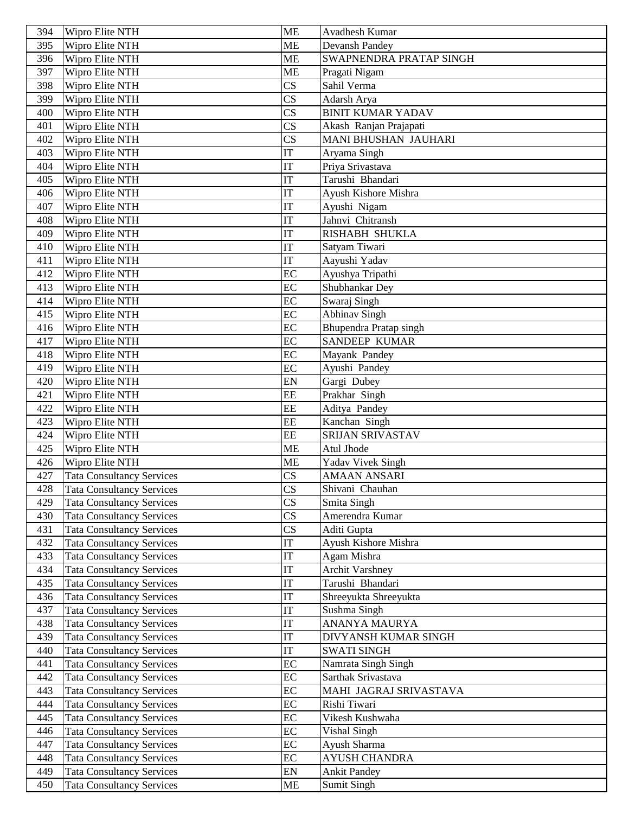| 394        | Wipro Elite NTH                                                      | <b>ME</b>                  | Avadhesh Kumar                             |
|------------|----------------------------------------------------------------------|----------------------------|--------------------------------------------|
| 395        | Wipro Elite NTH                                                      | <b>ME</b>                  | Devansh Pandey                             |
| 396        | Wipro Elite NTH                                                      | <b>ME</b>                  | SWAPNENDRA PRATAP SINGH                    |
| 397        | Wipro Elite NTH                                                      | <b>ME</b>                  | Pragati Nigam                              |
| 398        | Wipro Elite NTH                                                      | $\overline{\text{CS}}$     | Sahil Verma                                |
| 399        | Wipro Elite NTH                                                      | $\overline{\text{CS}}$     | Adarsh Arya                                |
| 400        | Wipro Elite NTH                                                      | $\overline{\text{CS}}$     | <b>BINIT KUMAR YADAV</b>                   |
| 401        | Wipro Elite NTH                                                      | $\overline{\text{CS}}$     | Akash Ranjan Prajapati                     |
| 402        | Wipro Elite NTH                                                      | $\overline{\text{CS}}$     | <b>MANI BHUSHAN JAUHARI</b>                |
| 403        | Wipro Elite NTH                                                      | IT                         | Aryama Singh                               |
| 404        | Wipro Elite NTH                                                      | IT                         | Priya Srivastava                           |
| 405        | Wipro Elite NTH                                                      | IT                         | Tarushi Bhandari                           |
| 406        | Wipro Elite NTH                                                      | IT                         | Ayush Kishore Mishra                       |
| 407        | Wipro Elite NTH                                                      | IT                         | Ayushi Nigam                               |
| 408        | Wipro Elite NTH                                                      | IT                         | Jahnvi Chitransh                           |
| 409        | Wipro Elite NTH                                                      | <b>IT</b>                  | <b>RISHABH SHUKLA</b>                      |
| 410        | Wipro Elite NTH                                                      | IT                         | Satyam Tiwari                              |
| 411        | Wipro Elite NTH                                                      | IT                         | Aayushi Yadav                              |
| 412        | Wipro Elite NTH                                                      | EC                         | Ayushya Tripathi                           |
| 413        | Wipro Elite NTH                                                      | EC                         | Shubhankar Dey                             |
| 414        | Wipro Elite NTH                                                      | $\overline{EC}$            | Swaraj Singh                               |
| 415        | Wipro Elite NTH                                                      | $\overline{EC}$            | <b>Abhinav Singh</b>                       |
| 416        | Wipro Elite NTH                                                      | EC                         | Bhupendra Pratap singh                     |
| 417        | Wipro Elite NTH                                                      | EC                         | <b>SANDEEP KUMAR</b>                       |
| 418        | Wipro Elite NTH                                                      | EC                         | Mayank Pandey                              |
| 419        | Wipro Elite NTH                                                      | EC                         | Ayushi Pandey                              |
| 420        | Wipro Elite NTH                                                      | EN                         | Gargi Dubey                                |
| 421        | Wipro Elite NTH                                                      | EE                         | Prakhar Singh                              |
| 422        | Wipro Elite NTH                                                      | EE                         | Aditya Pandey                              |
| 423        | Wipro Elite NTH                                                      | EE                         | Kanchan Singh                              |
| 424        | Wipro Elite NTH                                                      | EE                         | <b>SRIJAN SRIVASTAV</b>                    |
| 425        | Wipro Elite NTH                                                      | <b>ME</b>                  | Atul Jhode                                 |
| 426        | Wipro Elite NTH                                                      | ME                         | Yadav Vivek Singh                          |
| 427        | <b>Tata Consultancy Services</b>                                     | $\overline{\text{CS}}$     | <b>AMAAN ANSARI</b>                        |
| 428        | <b>Tata Consultancy Services</b>                                     | CS                         | Shivani Chauhan                            |
| 429        | <b>Tata Consultancy Services</b>                                     | $\overline{\text{CS}}$     | Smita Singh                                |
| 430        | <b>Tata Consultancy Services</b>                                     | $\overline{\text{CS}}$     | Amerendra Kumar                            |
| 431        | <b>Tata Consultancy Services</b>                                     | $\overline{\text{CS}}$     | Aditi Gupta                                |
| 432        | <b>Tata Consultancy Services</b>                                     | $\ensuremath{\mathsf{IT}}$ | Ayush Kishore Mishra                       |
| 433        | <b>Tata Consultancy Services</b>                                     | $\operatorname{IT}$        | Agam Mishra                                |
| 434        | <b>Tata Consultancy Services</b>                                     | IT                         | <b>Archit Varshney</b>                     |
| 435        | <b>Tata Consultancy Services</b>                                     | IT                         | Tarushi Bhandari                           |
| 436        | <b>Tata Consultancy Services</b>                                     | IT                         | Shreeyukta Shreeyukta                      |
| 437        | <b>Tata Consultancy Services</b>                                     | IT                         | Sushma Singh                               |
| 438        | <b>Tata Consultancy Services</b>                                     | IT<br>IT                   | ANANYA MAURYA                              |
| 439        | <b>Tata Consultancy Services</b>                                     | IT                         | DIVYANSH KUMAR SINGH<br><b>SWATI SINGH</b> |
| 440<br>441 | <b>Tata Consultancy Services</b><br><b>Tata Consultancy Services</b> | EC                         | Namrata Singh Singh                        |
|            |                                                                      | EC                         | Sarthak Srivastava                         |
| 442<br>443 | <b>Tata Consultancy Services</b><br><b>Tata Consultancy Services</b> | EC                         | MAHI JAGRAJ SRIVASTAVA                     |
| 444        | <b>Tata Consultancy Services</b>                                     | EC                         | Rishi Tiwari                               |
| 445        | <b>Tata Consultancy Services</b>                                     | EC                         | Vikesh Kushwaha                            |
| 446        | <b>Tata Consultancy Services</b>                                     | EC                         | Vishal Singh                               |
| 447        | <b>Tata Consultancy Services</b>                                     | EC                         | Ayush Sharma                               |
| 448        | <b>Tata Consultancy Services</b>                                     | EC                         | <b>AYUSH CHANDRA</b>                       |
| 449        | Tata Consultancy Services                                            | EN                         | <b>Ankit Pandey</b>                        |
| 450        | <b>Tata Consultancy Services</b>                                     | ME                         | Sumit Singh                                |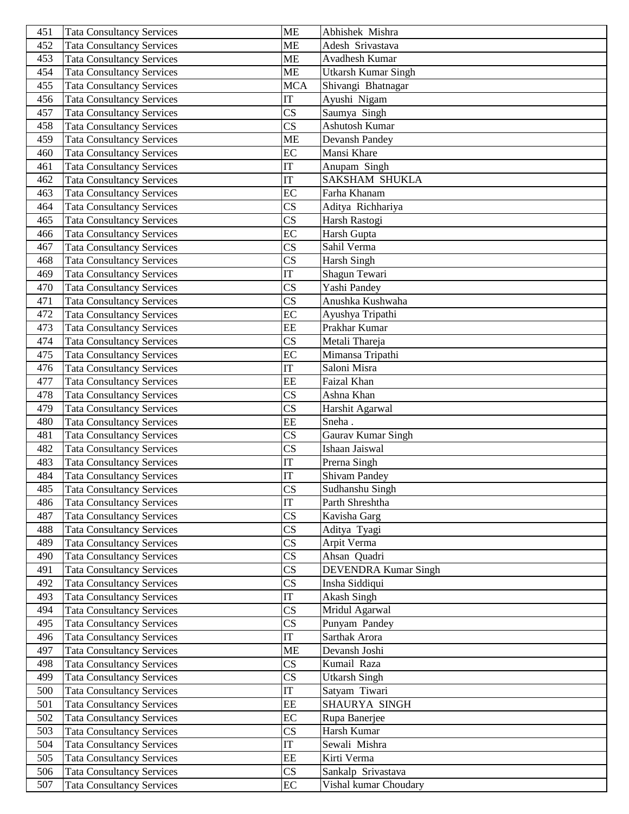| 451        | <b>Tata Consultancy Services</b>                                     | <b>ME</b>                    | Abhishek Mishra                |
|------------|----------------------------------------------------------------------|------------------------------|--------------------------------|
| 452        | <b>Tata Consultancy Services</b>                                     | <b>ME</b>                    | Adesh Srivastava               |
| 453        | <b>Tata Consultancy Services</b>                                     | <b>ME</b>                    | Avadhesh Kumar                 |
| 454        | <b>Tata Consultancy Services</b>                                     | <b>ME</b>                    | <b>Utkarsh Kumar Singh</b>     |
| 455        | <b>Tata Consultancy Services</b>                                     | <b>MCA</b>                   | Shivangi Bhatnagar             |
| 456        | <b>Tata Consultancy Services</b>                                     | <b>IT</b>                    | Ayushi Nigam                   |
| 457        | <b>Tata Consultancy Services</b>                                     | $\overline{\text{CS}}$       | Saumya Singh                   |
| 458        | Tata Consultancy Services                                            | $\overline{\text{CS}}$       | Ashutosh Kumar                 |
| 459        | <b>Tata Consultancy Services</b>                                     | <b>ME</b>                    | Devansh Pandey                 |
| 460        | <b>Tata Consultancy Services</b>                                     | EC                           | Mansi Khare                    |
| 461        | <b>Tata Consultancy Services</b>                                     | $\overline{\text{IT}}$       | Anupam Singh                   |
| 462        | <b>Tata Consultancy Services</b>                                     | IT                           | <b>SAKSHAM SHUKLA</b>          |
| 463        | <b>Tata Consultancy Services</b>                                     | EC                           | Farha Khanam                   |
| 464        | <b>Tata Consultancy Services</b>                                     | CS                           | Aditya Richhariya              |
| 465        | <b>Tata Consultancy Services</b>                                     | $\overline{\text{CS}}$       | Harsh Rastogi                  |
| 466        | <b>Tata Consultancy Services</b>                                     | EC                           | Harsh Gupta                    |
| 467        | <b>Tata Consultancy Services</b>                                     | $\overline{\text{CS}}$       | Sahil Verma                    |
| 468        | <b>Tata Consultancy Services</b>                                     | CS                           | Harsh Singh                    |
| 469        | <b>Tata Consultancy Services</b>                                     | IT                           | Shagun Tewari                  |
| 470        | <b>Tata Consultancy Services</b>                                     | CS                           | Yashi Pandey                   |
| 471        | <b>Tata Consultancy Services</b>                                     | $\overline{\text{CS}}$       | Anushka Kushwaha               |
| 472        | <b>Tata Consultancy Services</b>                                     | $\overline{EC}$              | Ayushya Tripathi               |
| 473        | <b>Tata Consultancy Services</b>                                     | EE                           | Prakhar Kumar                  |
| 474        | <b>Tata Consultancy Services</b>                                     | CS                           | Metali Thareja                 |
| 475        | <b>Tata Consultancy Services</b>                                     | EC                           | Mimansa Tripathi               |
| 476        | <b>Tata Consultancy Services</b>                                     | IT                           | Saloni Misra                   |
| 477        | <b>Tata Consultancy Services</b>                                     | EE                           | Faizal Khan                    |
| 478        | <b>Tata Consultancy Services</b>                                     | $\overline{\text{CS}}$       | Ashna Khan                     |
| 479        | <b>Tata Consultancy Services</b>                                     | CS                           | Harshit Agarwal                |
| 480        | <b>Tata Consultancy Services</b>                                     | EE                           | Sneha.                         |
| 481        | <b>Tata Consultancy Services</b>                                     | CS                           | Gaurav Kumar Singh             |
| 482        | <b>Tata Consultancy Services</b>                                     | $\overline{\text{CS}}$       | Ishaan Jaiswal                 |
| 483        | <b>Tata Consultancy Services</b>                                     | IT                           | Prerna Singh                   |
| 484        | <b>Tata Consultancy Services</b>                                     | IT                           | <b>Shivam Pandey</b>           |
| 485        | <b>Tata Consultancy Services</b>                                     | CS                           | Sudhanshu Singh                |
| 486        | <b>Tata Consultancy Services</b>                                     | $\overline{\text{IT}}$       | Parth Shreshtha                |
| 487        | <b>Tata Consultancy Services</b>                                     | $\overline{\text{CS}}$       | Kavisha Garg                   |
| 488        | <b>Tata Consultancy Services</b>                                     | $\overline{\text{CS}}$       | Aditya Tyagi                   |
| 489        | <b>Tata Consultancy Services</b>                                     | $\overline{\text{CS}}$       | Arpit Verma                    |
| 490        | <b>Tata Consultancy Services</b>                                     | $\overline{\text{CS}}$       | Ahsan Quadri                   |
| 491        | <b>Tata Consultancy Services</b>                                     | $\overline{\text{CS}}$       | <b>DEVENDRA Kumar Singh</b>    |
| 492        | <b>Tata Consultancy Services</b>                                     | CS                           | Insha Siddiqui                 |
| 493        | <b>Tata Consultancy Services</b>                                     | IT                           | Akash Singh                    |
| 494        | <b>Tata Consultancy Services</b>                                     | $\overline{\text{CS}}$       | Mridul Agarwal                 |
| 495        | <b>Tata Consultancy Services</b>                                     | $\overline{\text{CS}}$       | Punyam Pandey                  |
| 496        | <b>Tata Consultancy Services</b>                                     | IT                           | Sarthak Arora                  |
| 497        | <b>Tata Consultancy Services</b>                                     | <b>ME</b>                    | Devansh Joshi                  |
| 498        | <b>Tata Consultancy Services</b>                                     | $\overline{\text{CS}}$       | Kumail Raza                    |
| 499        | <b>Tata Consultancy Services</b>                                     | $\overline{\text{CS}}$<br>IT | <b>Utkarsh Singh</b>           |
| 500<br>501 | <b>Tata Consultancy Services</b>                                     | EE                           | Satyam Tiwari<br>SHAURYA SINGH |
| 502        | <b>Tata Consultancy Services</b><br><b>Tata Consultancy Services</b> | EC                           | Rupa Banerjee                  |
| 503        | <b>Tata Consultancy Services</b>                                     | CS                           | Harsh Kumar                    |
| 504        | <b>Tata Consultancy Services</b>                                     | IT                           | Sewali Mishra                  |
| 505        | <b>Tata Consultancy Services</b>                                     | EE                           | Kirti Verma                    |
| 506        | <b>Tata Consultancy Services</b>                                     | CS                           | Sankalp Srivastava             |
| 507        | <b>Tata Consultancy Services</b>                                     | EC                           | Vishal kumar Choudary          |
|            |                                                                      |                              |                                |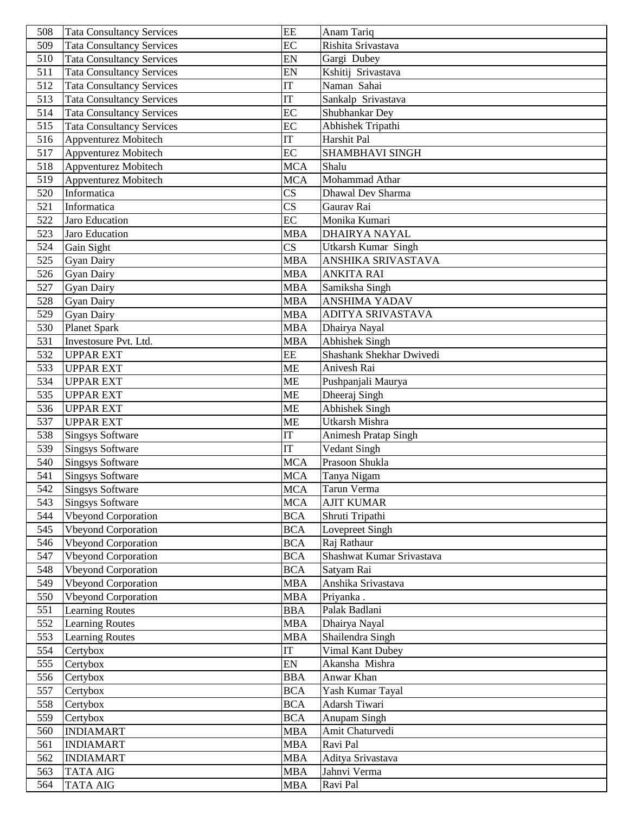| 508        | <b>Tata Consultancy Services</b>   | EE                     | Anam Tariq                                  |
|------------|------------------------------------|------------------------|---------------------------------------------|
| 509        | <b>Tata Consultancy Services</b>   | EC                     | Rishita Srivastava                          |
| 510        | <b>Tata Consultancy Services</b>   | EN                     | Gargi Dubey                                 |
| 511        | <b>Tata Consultancy Services</b>   | EN                     | Kshitij Srivastava                          |
| 512        | <b>Tata Consultancy Services</b>   | <b>IT</b>              | Naman Sahai                                 |
| 513        | <b>Tata Consultancy Services</b>   | IT                     | Sankalp Srivastava                          |
| 514        | <b>Tata Consultancy Services</b>   | EC                     | Shubhankar Dey                              |
| 515        | <b>Tata Consultancy Services</b>   | EC                     | Abhishek Tripathi                           |
| 516        | Appventurez Mobitech               | <b>IT</b>              | Harshit Pal                                 |
| 517        | Appventurez Mobitech               | $\overline{EC}$        | SHAMBHAVI SINGH                             |
| 518        | Appventurez Mobitech               | <b>MCA</b>             | Shalu                                       |
| 519        | Appventurez Mobitech               | <b>MCA</b>             | Mohammad Athar                              |
| 520        | Informatica                        | $\overline{\text{CS}}$ | Dhawal Dev Sharma                           |
| 521        | Informatica                        | $\overline{\text{CS}}$ | Gaurav Rai                                  |
| 522        | Jaro Education                     | EC                     | Monika Kumari                               |
| 523        | Jaro Education                     | <b>MBA</b>             | <b>DHAIRYA NAYAL</b>                        |
| 524        | Gain Sight                         | $\overline{\text{CS}}$ | <b>Utkarsh Kumar Singh</b>                  |
| 525        | <b>Gyan Dairy</b>                  | <b>MBA</b>             | ANSHIKA SRIVASTAVA                          |
| 526        | <b>Gyan Dairy</b>                  | <b>MBA</b>             | <b>ANKITA RAI</b>                           |
| 527        | <b>Gyan Dairy</b>                  | <b>MBA</b>             | Samiksha Singh                              |
| 528        | <b>Gyan Dairy</b>                  | <b>MBA</b>             | <b>ANSHIMA YADAV</b>                        |
| 529        | <b>Gyan Dairy</b>                  | <b>MBA</b>             | <b>ADITYA SRIVASTAVA</b>                    |
| 530        | <b>Planet Spark</b>                | <b>MBA</b>             | Dhairya Nayal                               |
| 531        | Investosure Pvt. Ltd.              | <b>MBA</b>             | <b>Abhishek Singh</b>                       |
| 532        | <b>UPPAR EXT</b>                   | EE                     | Shashank Shekhar Dwivedi                    |
| 533        | <b>UPPAR EXT</b>                   | <b>ME</b>              | Anivesh Rai                                 |
| 534        | <b>UPPAR EXT</b>                   | <b>ME</b>              | Pushpanjali Maurya                          |
| 535        | <b>UPPAR EXT</b>                   | <b>ME</b>              | Dheeraj Singh                               |
| 536        | <b>UPPAR EXT</b>                   | <b>ME</b>              | Abhishek Singh                              |
| 537        | <b>UPPAR EXT</b>                   | <b>ME</b>              | Utkarsh Mishra                              |
| 538        | <b>Singsys Software</b>            | <b>IT</b>              | Animesh Pratap Singh                        |
| 539        | Singsys Software                   | <b>IT</b>              | Vedant Singh                                |
| 540        | <b>Singsys Software</b>            | <b>MCA</b>             | Prasoon Shukla                              |
| 541        | <b>Singsys Software</b>            | <b>MCA</b>             | Tanya Nigam                                 |
| 542        | <b>Singsys Software</b>            | <b>MCA</b>             | Tarun Verma                                 |
| 543        | <b>Singsys Software</b>            | <b>MCA</b>             | <b>AJIT KUMAR</b>                           |
| 544        | <b>Vbeyond Corporation</b>         | <b>BCA</b>             | Shruti Tripathi                             |
| 545        | <b>Vbeyond Corporation</b>         | <b>BCA</b>             | Lovepreet Singh                             |
| 546        | <b>Vbeyond Corporation</b>         | <b>BCA</b>             | Raj Rathaur                                 |
| 547        | <b>Vbeyond Corporation</b>         | <b>BCA</b>             | Shashwat Kumar Srivastava                   |
| 548        | <b>Vbeyond Corporation</b>         | <b>BCA</b>             | Satyam Rai                                  |
| 549        | <b>Vbeyond Corporation</b>         | <b>MBA</b>             | Anshika Srivastava                          |
| 550        | <b>Vbeyond Corporation</b>         | <b>MBA</b>             | Priyanka.<br>Palak Badlani                  |
| 551        | <b>Learning Routes</b>             | <b>BBA</b>             |                                             |
| 552        | <b>Learning Routes</b>             | <b>MBA</b>             | Dhairya Nayal                               |
| 553<br>554 | <b>Learning Routes</b><br>Certybox | <b>MBA</b><br>IT       | Shailendra Singh<br><b>Vimal Kant Dubey</b> |
|            |                                    | EN                     | Akansha Mishra                              |
| 555<br>556 | Certybox<br>Certybox               | <b>BBA</b>             | Anwar Khan                                  |
| 557        | Certybox                           | <b>BCA</b>             | Yash Kumar Tayal                            |
| 558        | Certybox                           | <b>BCA</b>             | Adarsh Tiwari                               |
| 559        | Certybox                           | <b>BCA</b>             | Anupam Singh                                |
| 560        | <b>INDIAMART</b>                   | <b>MBA</b>             | Amit Chaturvedi                             |
| 561        | <b>INDIAMART</b>                   | <b>MBA</b>             | Ravi Pal                                    |
| 562        | <b>INDIAMART</b>                   | <b>MBA</b>             | Aditya Srivastava                           |
| 563        | <b>TATA AIG</b>                    | <b>MBA</b>             | Jahnvi Verma                                |
| 564        | <b>TATA AIG</b>                    | <b>MBA</b>             | Ravi Pal                                    |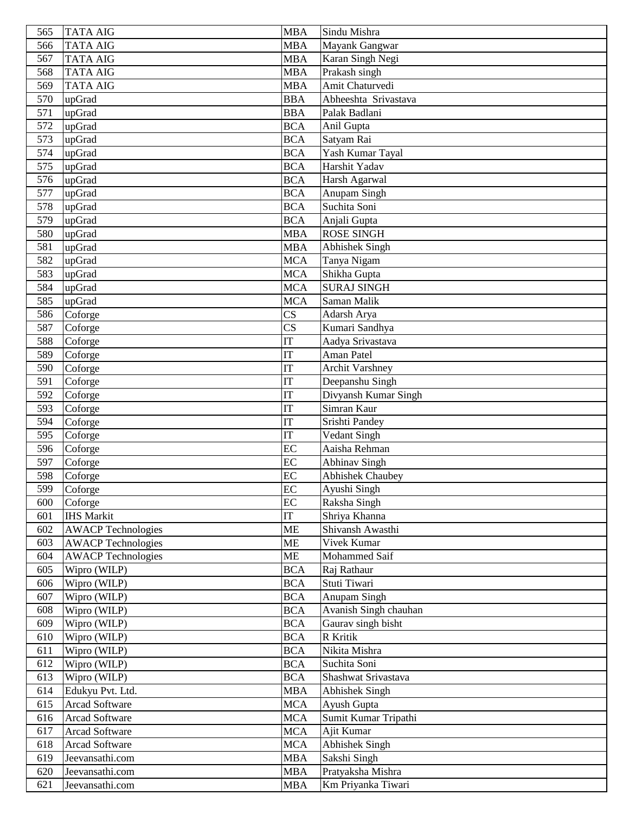| 565        | <b>TATA AIG</b>              | <b>MBA</b>               | Sindu Mishra                |
|------------|------------------------------|--------------------------|-----------------------------|
| 566        | <b>TATA AIG</b>              | <b>MBA</b>               | Mayank Gangwar              |
| 567        | <b>TATA AIG</b>              | <b>MBA</b>               | Karan Singh Negi            |
| 568        | <b>TATA AIG</b>              | <b>MBA</b>               | Prakash singh               |
| 569        | <b>TATA AIG</b>              | <b>MBA</b>               | Amit Chaturvedi             |
| 570        | upGrad                       | <b>BBA</b>               | Abheeshta Srivastava        |
| 571        | upGrad                       | <b>BBA</b>               | Palak Badlani               |
| 572        | upGrad                       | <b>BCA</b>               | Anil Gupta                  |
| 573        | upGrad                       | <b>BCA</b>               | Satyam Rai                  |
| 574        | upGrad                       | <b>BCA</b>               | Yash Kumar Tayal            |
| 575        | upGrad                       | <b>BCA</b>               | Harshit Yadav               |
| 576        | upGrad                       | <b>BCA</b>               | Harsh Agarwal               |
| 577        | upGrad                       | <b>BCA</b>               | Anupam Singh                |
| 578        | upGrad                       | <b>BCA</b>               | Suchita Soni                |
| 579        | upGrad                       | <b>BCA</b>               | Anjali Gupta                |
| 580        | upGrad                       | <b>MBA</b>               | <b>ROSE SINGH</b>           |
| 581        | upGrad                       | <b>MBA</b>               | <b>Abhishek Singh</b>       |
| 582        | upGrad                       | <b>MCA</b>               | Tanya Nigam                 |
| 583        | upGrad                       | <b>MCA</b>               | Shikha Gupta                |
| 584        | upGrad                       | <b>MCA</b>               | <b>SURAJ SINGH</b>          |
| 585        | upGrad                       | <b>MCA</b>               | Saman Malik                 |
| 586        | Coforge                      | $\overline{\text{CS}}$   | Adarsh Arya                 |
| 587        | Coforge                      | $\overline{\text{CS}}$   | Kumari Sandhya              |
| 588        | Coforge                      | IT                       | Aadya Srivastava            |
| 589        | Coforge                      | IT                       | Aman Patel                  |
| 590        | Coforge                      | IT                       | <b>Archit Varshney</b>      |
| 591        | Coforge                      | IT                       | Deepanshu Singh             |
| 592        | Coforge                      | IT                       | Divyansh Kumar Singh        |
| 593        | Coforge                      | IT                       | Simran Kaur                 |
| 594        | Coforge                      | IT                       | Srishti Pandey              |
| 595        | Coforge                      | <b>IT</b>                | Vedant Singh                |
| 596        | Coforge                      | EC                       | Aaisha Rehman               |
| 597        | Coforge                      | EC                       | Abhinav Singh               |
| 598        | Coforge                      | EC                       | <b>Abhishek Chaubey</b>     |
| 599        | Coforge                      | EC                       | Ayushi Singh                |
| 600        | Coforge                      | EC                       | Raksha Singh                |
| 601        | <b>IHS Markit</b>            | IT                       | Shriya Khanna               |
| 602        | <b>AWACP Technologies</b>    | <b>ME</b>                | Shivansh Awasthi            |
| 603        | <b>AWACP Technologies</b>    | <b>ME</b>                | Vivek Kumar                 |
| 604        | <b>AWACP Technologies</b>    | <b>ME</b>                | Mohammed Saif               |
| 605<br>606 | Wipro (WILP)<br>Wipro (WILP) | <b>BCA</b><br><b>BCA</b> | Raj Rathaur<br>Stuti Tiwari |
| 607        | Wipro (WILP)                 | <b>BCA</b>               | Anupam Singh                |
| 608        | Wipro (WILP)                 | <b>BCA</b>               | Avanish Singh chauhan       |
| 609        | Wipro (WILP)                 | <b>BCA</b>               | Gaurav singh bisht          |
| 610        | Wipro (WILP)                 | <b>BCA</b>               | R Kritik                    |
| 611        | Wipro (WILP)                 | <b>BCA</b>               | Nikita Mishra               |
| 612        | Wipro (WILP)                 | <b>BCA</b>               | Suchita Soni                |
| 613        | Wipro (WILP)                 | <b>BCA</b>               | Shashwat Srivastava         |
| 614        | Edukyu Pvt. Ltd.             | <b>MBA</b>               | <b>Abhishek Singh</b>       |
| 615        | <b>Arcad Software</b>        | <b>MCA</b>               | Ayush Gupta                 |
| 616        | <b>Arcad Software</b>        | <b>MCA</b>               | Sumit Kumar Tripathi        |
| 617        | <b>Arcad Software</b>        | <b>MCA</b>               | Ajit Kumar                  |
| 618        | <b>Arcad Software</b>        | <b>MCA</b>               | <b>Abhishek Singh</b>       |
| 619        | Jeevansathi.com              | <b>MBA</b>               | Sakshi Singh                |
| 620        | Jeevansathi.com              | <b>MBA</b>               | Pratyaksha Mishra           |
| 621        | Jeevansathi.com              | <b>MBA</b>               | Km Priyanka Tiwari          |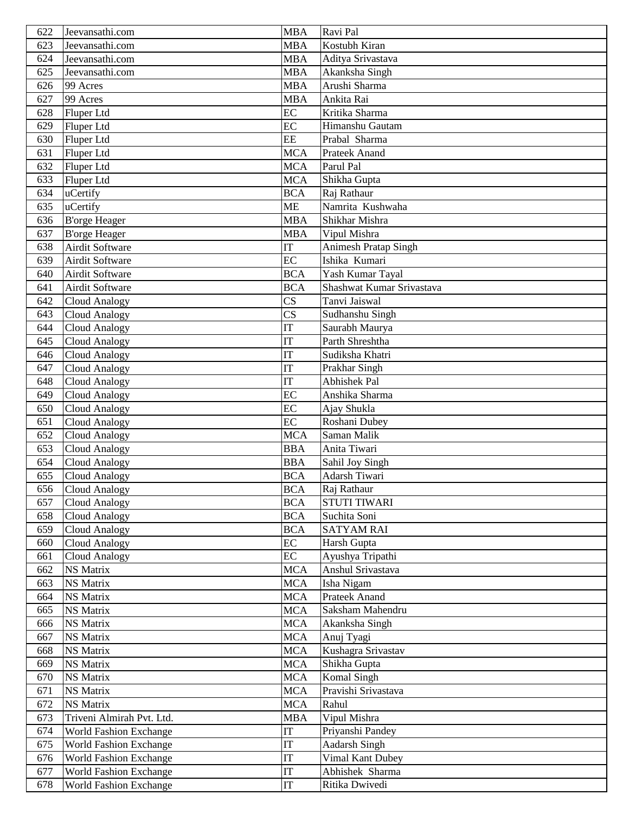| 622 | Jeevansathi.com               | <b>MBA</b>                 | Ravi Pal                  |
|-----|-------------------------------|----------------------------|---------------------------|
| 623 | Jeevansathi.com               | <b>MBA</b>                 | Kostubh Kiran             |
| 624 | Jeevansathi.com               | <b>MBA</b>                 | Aditya Srivastava         |
| 625 | Jeevansathi.com               | <b>MBA</b>                 | Akanksha Singh            |
| 626 | 99 Acres                      | <b>MBA</b>                 | Arushi Sharma             |
| 627 | 99 Acres                      | <b>MBA</b>                 | Ankita Rai                |
| 628 | Fluper Ltd                    | EC                         | Kritika Sharma            |
| 629 | Fluper Ltd                    | EC                         | Himanshu Gautam           |
| 630 | Fluper Ltd                    | EE                         | Prabal Sharma             |
| 631 | Fluper Ltd                    | $\overline{\text{MCA}}$    | <b>Prateek Anand</b>      |
| 632 | Fluper Ltd                    | <b>MCA</b>                 | Parul Pal                 |
| 633 | Fluper Ltd                    | <b>MCA</b>                 | Shikha Gupta              |
| 634 | uCertify                      | <b>BCA</b>                 | Raj Rathaur               |
| 635 | uCertify                      | <b>ME</b>                  | Namrita Kushwaha          |
| 636 | <b>B'orge Heager</b>          | <b>MBA</b>                 | Shikhar Mishra            |
| 637 | <b>B'orge Heager</b>          | <b>MBA</b>                 | Vipul Mishra              |
| 638 | <b>Airdit Software</b>        | IT                         | Animesh Pratap Singh      |
| 639 | <b>Airdit Software</b>        | EC                         | Ishika Kumari             |
| 640 | Airdit Software               | <b>BCA</b>                 | Yash Kumar Tayal          |
| 641 | <b>Airdit Software</b>        | $\overline{BCA}$           | Shashwat Kumar Srivastava |
| 642 | <b>Cloud Analogy</b>          | $\overline{\text{CS}}$     | Tanvi Jaiswal             |
| 643 | <b>Cloud Analogy</b>          | $\overline{\text{CS}}$     | Sudhanshu Singh           |
| 644 | <b>Cloud Analogy</b>          | $\overline{\text{IT}}$     | Saurabh Maurya            |
| 645 | <b>Cloud Analogy</b>          | IT                         | Parth Shreshtha           |
| 646 | Cloud Analogy                 | IT                         | Sudiksha Khatri           |
| 647 | <b>Cloud Analogy</b>          | <b>IT</b>                  | Prakhar Singh             |
| 648 | <b>Cloud Analogy</b>          | <b>IT</b>                  | <b>Abhishek</b> Pal       |
| 649 | Cloud Analogy                 | EC                         | Anshika Sharma            |
| 650 | Cloud Analogy                 | EC                         | Ajay Shukla               |
| 651 | <b>Cloud Analogy</b>          | EC                         | Roshani Dubey             |
| 652 | <b>Cloud Analogy</b>          | <b>MCA</b>                 | Saman Malik               |
| 653 | <b>Cloud Analogy</b>          | <b>BBA</b>                 | Anita Tiwari              |
| 654 | <b>Cloud Analogy</b>          | <b>BBA</b>                 | Sahil Joy Singh           |
| 655 | <b>Cloud Analogy</b>          | <b>BCA</b>                 | Adarsh Tiwari             |
| 656 | Cloud Analogy                 | <b>BCA</b>                 | Raj Rathaur               |
| 657 | <b>Cloud Analogy</b>          | <b>BCA</b>                 | <b>STUTI TIWARI</b>       |
| 658 | <b>Cloud Analogy</b>          | <b>BCA</b>                 | Suchita Soni              |
| 659 | <b>Cloud Analogy</b>          | <b>BCA</b>                 | <b>SATYAM RAI</b>         |
| 660 | <b>Cloud Analogy</b>          | EC                         | Harsh Gupta               |
| 661 | <b>Cloud Analogy</b>          | EC                         | Ayushya Tripathi          |
| 662 | <b>NS Matrix</b>              | <b>MCA</b>                 | Anshul Srivastava         |
| 663 | <b>NS Matrix</b>              | <b>MCA</b>                 | Isha Nigam                |
| 664 | <b>NS Matrix</b>              | <b>MCA</b>                 | <b>Prateek Anand</b>      |
| 665 | <b>NS Matrix</b>              | <b>MCA</b>                 | Saksham Mahendru          |
| 666 | <b>NS Matrix</b>              | <b>MCA</b>                 | Akanksha Singh            |
| 667 | <b>NS Matrix</b>              | <b>MCA</b>                 | Anuj Tyagi                |
| 668 | <b>NS Matrix</b>              | <b>MCA</b>                 | Kushagra Srivastav        |
| 669 | <b>NS Matrix</b>              | <b>MCA</b>                 | Shikha Gupta              |
| 670 | NS Matrix                     | <b>MCA</b>                 | Komal Singh               |
| 671 | <b>NS Matrix</b>              | <b>MCA</b>                 | Pravishi Srivastava       |
| 672 | <b>NS Matrix</b>              | <b>MCA</b>                 | Rahul                     |
| 673 | Triveni Almirah Pvt. Ltd.     | <b>MBA</b>                 | Vipul Mishra              |
| 674 | <b>World Fashion Exchange</b> | $\ensuremath{\mathsf{IT}}$ | Priyanshi Pandey          |
| 675 | World Fashion Exchange        | IT                         | <b>Aadarsh Singh</b>      |
| 676 | <b>World Fashion Exchange</b> | IT                         | Vimal Kant Dubey          |
| 677 | <b>World Fashion Exchange</b> | IT                         | Abhishek Sharma           |
| 678 | <b>World Fashion Exchange</b> | IT                         | Ritika Dwivedi            |
|     |                               |                            |                           |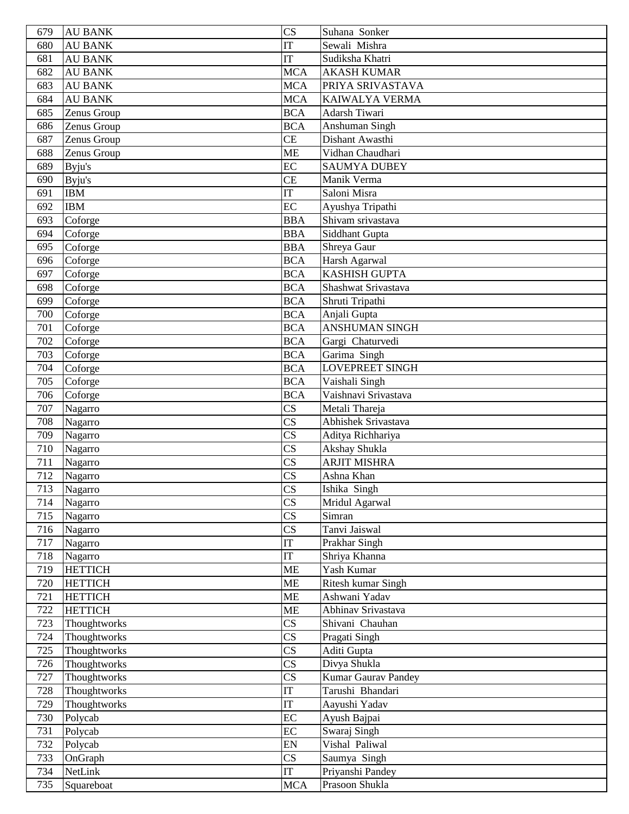| 679        | <b>AU BANK</b>            | $\overline{\text{CS}}$                           | Suhana Sonker               |
|------------|---------------------------|--------------------------------------------------|-----------------------------|
| 680        | <b>AU BANK</b>            | IT                                               | Sewali Mishra               |
| 681        | <b>AU BANK</b>            | IT                                               | Sudiksha Khatri             |
| 682        | <b>AU BANK</b>            | <b>MCA</b>                                       | <b>AKASH KUMAR</b>          |
| 683        | <b>AU BANK</b>            | <b>MCA</b>                                       | PRIYA SRIVASTAVA            |
| 684        | <b>AU BANK</b>            | <b>MCA</b>                                       | <b>KAIWALYA VERMA</b>       |
| 685        | Zenus Group               | <b>BCA</b>                                       | Adarsh Tiwari               |
| 686        | Zenus Group               | <b>BCA</b>                                       | Anshuman Singh              |
| 687        | Zenus Group               | <b>CE</b>                                        | Dishant Awasthi             |
| 688        | Zenus Group               | <b>ME</b>                                        | Vidhan Chaudhari            |
| 689        | Byju's                    | EC                                               | <b>SAUMYA DUBEY</b>         |
| 690        | Byju's                    | <b>CE</b>                                        | Manik Verma                 |
| 691        | <b>IBM</b>                | IT                                               | Saloni Misra                |
| 692        | <b>IBM</b>                | EC                                               | Ayushya Tripathi            |
| 693        | Coforge                   | <b>BBA</b>                                       | Shivam srivastava           |
| 694        | Coforge                   | <b>BBA</b>                                       | Siddhant Gupta              |
| 695        | Coforge                   | <b>BBA</b>                                       | Shreya Gaur                 |
| 696        | Coforge                   | <b>BCA</b>                                       | Harsh Agarwal               |
| 697        | Coforge                   | <b>BCA</b>                                       | <b>KASHISH GUPTA</b>        |
| 698        | Coforge                   | <b>BCA</b>                                       | Shashwat Srivastava         |
| 699        | Coforge                   | <b>BCA</b>                                       | Shruti Tripathi             |
| 700        | Coforge                   | <b>BCA</b>                                       | Anjali Gupta                |
| 701        | Coforge                   | <b>BCA</b>                                       | <b>ANSHUMAN SINGH</b>       |
| 702        | Coforge                   | <b>BCA</b>                                       | Gargi Chaturvedi            |
| 703        | Coforge                   | <b>BCA</b>                                       | Garima Singh                |
| 704        | Coforge                   | <b>BCA</b>                                       | <b>LOVEPREET SINGH</b>      |
| 705        | Coforge                   | <b>BCA</b>                                       | Vaishali Singh              |
| 706        | Coforge                   | $\overline{BCA}$                                 | Vaishnavi Srivastava        |
| 707        | Nagarro                   | $\overline{\text{CS}}$                           | Metali Thareja              |
| 708        | Nagarro                   | $\overline{\text{CS}}$                           | Abhishek Srivastava         |
| 709        | Nagarro                   | $\overline{\text{CS}}$                           | Aditya Richhariya           |
| 710        | Nagarro                   | $\overline{\text{CS}}$                           | Akshay Shukla               |
| 711        | Nagarro                   | $\overline{\text{CS}}$                           | <b>ARJIT MISHRA</b>         |
| 712        | Nagarro                   | $\overline{\text{CS}}$                           | Ashna Khan                  |
| 713        | Nagarro                   | <b>CS</b>                                        | Ishika Singh                |
| 714        | Nagarro                   | $\overline{\text{CS}}$                           | Mridul Agarwal              |
| 715        | Nagarro                   | $\overline{\text{CS}}$                           | Simran                      |
| 716        | Nagarro                   | $\overline{\text{CS}}$<br>$\overline{\text{IT}}$ | Tanvi Jaiswal               |
| 717        | Nagarro                   | IT                                               | Prakhar Singh               |
| 718<br>719 | Nagarro<br><b>HETTICH</b> | <b>ME</b>                                        | Shriya Khanna<br>Yash Kumar |
| 720        | <b>HETTICH</b>            | <b>ME</b>                                        | Ritesh kumar Singh          |
| 721        | <b>HETTICH</b>            | ME                                               | Ashwani Yadav               |
| 722        | <b>HETTICH</b>            | ME                                               | Abhinav Srivastava          |
| 723        | Thoughtworks              | $\overline{\text{CS}}$                           | Shivani Chauhan             |
| 724        | Thoughtworks              | $\overline{\text{CS}}$                           | Pragati Singh               |
| 725        | Thoughtworks              | $\overline{\text{CS}}$                           | Aditi Gupta                 |
| 726        | Thoughtworks              | $\overline{\text{CS}}$                           | Divya Shukla                |
| 727        | Thoughtworks              | $\overline{\text{CS}}$                           | Kumar Gaurav Pandey         |
| 728        | Thoughtworks              | $\overline{\text{IT}}$                           | Tarushi Bhandari            |
| 729        | Thoughtworks              | <b>IT</b>                                        | Aayushi Yadav               |
| 730        | Polycab                   | EC                                               | Ayush Bajpai                |
| 731        | Polycab                   | EC                                               | Swaraj Singh                |
| 732        | Polycab                   | EN                                               | Vishal Paliwal              |
| 733        | OnGraph                   | $\overline{\text{CS}}$                           | Saumya Singh                |
| 734        | NetLink                   | IT                                               | Priyanshi Pandey            |
| 735        | Squareboat                | <b>MCA</b>                                       | Prasoon Shukla              |